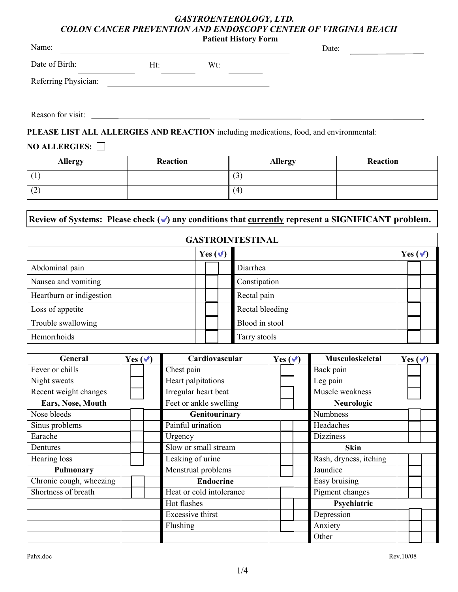# *GASTROENTEROLOGY, LTD. COLON CANCER PREVENTION AND ENDOSCOPY CENTER OF VIRGINIA BEACH*

| Name:                |     | <b>Patient History Form</b> | Date: |  |
|----------------------|-----|-----------------------------|-------|--|
| Date of Birth:       | Ht: | Wt:                         |       |  |
| Referring Physician: |     |                             |       |  |

Reason for visit:

**PLEASE LIST ALL ALLERGIES AND REACTION** including medications, food, and environmental:

# **NO ALLERGIES:**

| <b>Allergy</b> | Reaction | <b>Allergy</b> | Reaction |
|----------------|----------|----------------|----------|
|                |          | $\mathfrak{c}$ |          |
| (2)            |          | (4)            |          |

# **Review of Systems: Please check ( ) any conditions that currently represent a SIGNIFICANT problem.**

| <b>GASTROINTESTINAL</b>  |              |  |                 |  |              |  |  |
|--------------------------|--------------|--|-----------------|--|--------------|--|--|
|                          | Yes $(\vee)$ |  |                 |  | Yes $(\vee)$ |  |  |
| Abdominal pain           |              |  | Diarrhea        |  |              |  |  |
| Nausea and vomiting      |              |  | Constipation    |  |              |  |  |
| Heartburn or indigestion |              |  | Rectal pain     |  |              |  |  |
| Loss of appetite         |              |  | Rectal bleeding |  |              |  |  |
| Trouble swallowing       |              |  | Blood in stool  |  |              |  |  |
| Hemorrhoids              |              |  | Tarry stools    |  |              |  |  |

| General                 | Cardiovascular<br>Yes $(\checkmark)$<br>Yes $(\checkmark)$ |                    |                  | <b>Musculoskeletal</b>   | Yes $(\vee)$     |                        |                 |                 |  |  |  |
|-------------------------|------------------------------------------------------------|--------------------|------------------|--------------------------|------------------|------------------------|-----------------|-----------------|--|--|--|
| Fever or chills         |                                                            |                    |                  | Chest pain               |                  |                        |                 | Back pain       |  |  |  |
| Night sweats            |                                                            |                    |                  | Heart palpitations       | Leg pain         |                        |                 |                 |  |  |  |
| Recent weight changes   |                                                            |                    |                  | Irregular heart beat     |                  |                        |                 | Muscle weakness |  |  |  |
| Ears, Nose, Mouth       |                                                            |                    |                  | Feet or ankle swelling   |                  |                        |                 | Neurologic      |  |  |  |
| Nose bleeds             |                                                            |                    |                  | Genitourinary            |                  |                        |                 | <b>Numbness</b> |  |  |  |
| Sinus problems          |                                                            |                    |                  | Painful urination        |                  |                        |                 | Headaches       |  |  |  |
| Earache                 |                                                            |                    |                  | Urgency                  | <b>Dizziness</b> |                        |                 |                 |  |  |  |
| Dentures                |                                                            |                    |                  | Slow or small stream     |                  |                        |                 | <b>Skin</b>     |  |  |  |
| Hearing loss            |                                                            |                    |                  | Leaking of urine         |                  | Rash, dryness, itching |                 |                 |  |  |  |
| Pulmonary               |                                                            | Menstrual problems |                  |                          |                  | Jaundice               |                 |                 |  |  |  |
| Chronic cough, wheezing |                                                            |                    | <b>Endocrine</b> |                          |                  | Easy bruising          |                 |                 |  |  |  |
| Shortness of breath     |                                                            |                    |                  | Heat or cold intolerance |                  |                        | Pigment changes |                 |  |  |  |
|                         |                                                            | Hot flashes        |                  |                          | Psychiatric      |                        |                 |                 |  |  |  |
|                         | Excessive thirst                                           |                    |                  | Depression               |                  |                        |                 |                 |  |  |  |
|                         |                                                            |                    |                  | Flushing                 |                  |                        |                 | Anxiety         |  |  |  |
|                         |                                                            |                    |                  |                          |                  |                        |                 | Other           |  |  |  |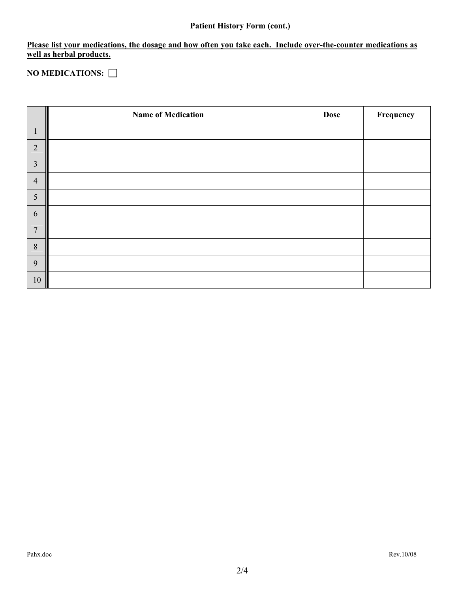# **Patient History Form (cont.)**

**Please list your medications, the dosage and how often you take each. Include over-the-counter medications as well as herbal products.**

**NO MEDICATIONS:** 

|                | <b>Name of Medication</b> | <b>Dose</b> | Frequency |
|----------------|---------------------------|-------------|-----------|
| $\mathbf{1}$   |                           |             |           |
| $\overline{2}$ |                           |             |           |
| $\mathfrak{Z}$ |                           |             |           |
| $\overline{4}$ |                           |             |           |
| $\sqrt{5}$     |                           |             |           |
| 6              |                           |             |           |
| $\overline{7}$ |                           |             |           |
| $\,8\,$        |                           |             |           |
| 9              |                           |             |           |
| $10\,$         |                           |             |           |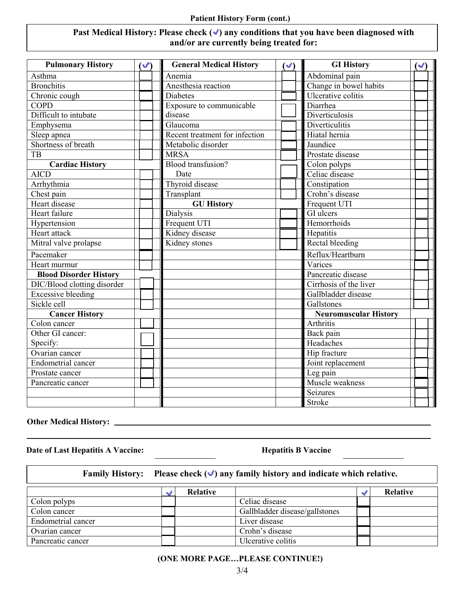#### **Patient History Form (cont.)**

### Past Medical History: Please check ( $\checkmark$ ) any conditions that you have been diagnosed with **and/or are currently being treated for:**

| <b>Pulmonary History</b>      | $\mathcal{F}$ | <b>General Medical History</b><br>$(\vee)$ |  | <b>GI History</b>            | $(\blacktriangleright)$ |
|-------------------------------|---------------|--------------------------------------------|--|------------------------------|-------------------------|
| Asthma                        |               | Anemia                                     |  | Abdominal pain               |                         |
| <b>Bronchitis</b>             |               | Anesthesia reaction                        |  | Change in bowel habits       |                         |
| Chronic cough                 |               | <b>Diabetes</b>                            |  | Ulcerative colitis           |                         |
| <b>COPD</b>                   |               | Exposure to communicable                   |  | Diarrhea                     |                         |
| Difficult to intubate         |               | disease                                    |  | Diverticulosis               |                         |
| Emphysema                     |               | Glaucoma                                   |  | Diverticulitis               |                         |
| Sleep apnea                   |               | Recent treatment for infection             |  | Hiatal hernia                |                         |
| Shortness of breath           |               | Metabolic disorder                         |  | Jaundice                     |                         |
| <b>TB</b>                     |               | <b>MRSA</b>                                |  | Prostate disease             |                         |
| <b>Cardiac History</b>        |               | <b>Blood</b> transfusion?                  |  | Colon polyps                 |                         |
| <b>AICD</b>                   |               | Date                                       |  | Celiac disease               |                         |
| Arrhythmia                    |               | Thyroid disease                            |  | Constipation                 |                         |
| Chest pain                    |               | Transplant                                 |  | Crohn's disease              |                         |
| Heart disease                 |               | <b>GU History</b>                          |  | Frequent UTI                 |                         |
| Heart failure                 |               | <b>Dialysis</b>                            |  | GI ulcers                    |                         |
| Hypertension                  |               | Frequent UTI                               |  | Hemorrhoids                  |                         |
| Heart attack                  |               | Kidney disease                             |  | Hepatitis                    |                         |
| Mitral valve prolapse         |               | Kidney stones                              |  | <b>Rectal bleeding</b>       |                         |
| Pacemaker                     |               |                                            |  | Reflux/Heartburn             |                         |
| Heart murmur                  |               |                                            |  | Varices                      |                         |
| <b>Blood Disorder History</b> |               |                                            |  | Pancreatic disease           |                         |
| DIC/Blood clotting disorder   |               |                                            |  | Cirrhosis of the liver       |                         |
| <b>Excessive bleeding</b>     |               |                                            |  | Gallbladder disease          |                         |
| Sickle cell                   |               |                                            |  | Gallstones                   |                         |
| <b>Cancer History</b>         |               |                                            |  | <b>Neuromuscular History</b> |                         |
| $\overline{Colon}$ cancer     |               |                                            |  | <b>Arthritis</b>             |                         |
| Other GI cancer:              |               |                                            |  | Back pain                    |                         |
| Specify:                      |               |                                            |  | Headaches                    |                         |
| Ovarian cancer                |               |                                            |  | Hip fracture                 |                         |
| <b>Endometrial cancer</b>     |               |                                            |  | Joint replacement            |                         |
| Prostate cancer               |               |                                            |  | Leg pain                     |                         |
| Pancreatic cancer             |               |                                            |  | Muscle weakness              |                         |
|                               |               |                                            |  | Seizures                     |                         |
|                               |               |                                            |  | <b>Stroke</b>                |                         |

# **Other Medical History:**

**Date of Last Hepatitis A Vaccine:** Hepatitis B Vaccine

| Family History: Please check $(\check{\bullet})$ any family history and indicate which relative. |  |          |                                |  |          |  |  |
|--------------------------------------------------------------------------------------------------|--|----------|--------------------------------|--|----------|--|--|
|                                                                                                  |  | Relative |                                |  | Relative |  |  |
| Colon polyps                                                                                     |  |          | Celiac disease                 |  |          |  |  |
| Colon cancer                                                                                     |  |          | Gallbladder disease/gallstones |  |          |  |  |
| Endometrial cancer                                                                               |  |          | Liver disease                  |  |          |  |  |
| Ovarian cancer                                                                                   |  |          | Crohn's disease                |  |          |  |  |
| Pancreatic cancer                                                                                |  |          | Ulcerative colitis             |  |          |  |  |

#### **(ONE MORE PAGE…PLEASE CONTINUE!)**